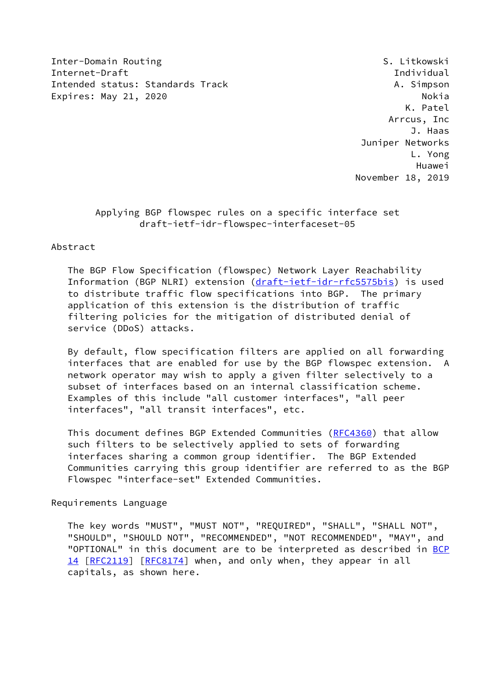Inter-Domain Routing The Summary S. Litkowski Internet-Draft Individual Intended status: Standards Track A. Simpson Expires: May 21, 2020 and the contract of the Nokia Nokia

 K. Patel Arrcus, Inc J. Haas Juniper Networks L. Yong Huawei November 18, 2019

# Applying BGP flowspec rules on a specific interface set draft-ietf-idr-flowspec-interfaceset-05

### Abstract

 The BGP Flow Specification (flowspec) Network Layer Reachability Information (BGP NLRI) extension [\(draft-ietf-idr-rfc5575bis\)](https://datatracker.ietf.org/doc/pdf/draft-ietf-idr-rfc5575bis) is used to distribute traffic flow specifications into BGP. The primary application of this extension is the distribution of traffic filtering policies for the mitigation of distributed denial of service (DDoS) attacks.

 By default, flow specification filters are applied on all forwarding interfaces that are enabled for use by the BGP flowspec extension. A network operator may wish to apply a given filter selectively to a subset of interfaces based on an internal classification scheme. Examples of this include "all customer interfaces", "all peer interfaces", "all transit interfaces", etc.

 This document defines BGP Extended Communities [\(RFC4360](https://datatracker.ietf.org/doc/pdf/rfc4360)) that allow such filters to be selectively applied to sets of forwarding interfaces sharing a common group identifier. The BGP Extended Communities carrying this group identifier are referred to as the BGP Flowspec "interface-set" Extended Communities.

### Requirements Language

 The key words "MUST", "MUST NOT", "REQUIRED", "SHALL", "SHALL NOT", "SHOULD", "SHOULD NOT", "RECOMMENDED", "NOT RECOMMENDED", "MAY", and "OPTIONAL" in this document are to be interpreted as described in [BCP](https://datatracker.ietf.org/doc/pdf/bcp14) [14](https://datatracker.ietf.org/doc/pdf/bcp14) [[RFC2119\]](https://datatracker.ietf.org/doc/pdf/rfc2119) [\[RFC8174](https://datatracker.ietf.org/doc/pdf/rfc8174)] when, and only when, they appear in all capitals, as shown here.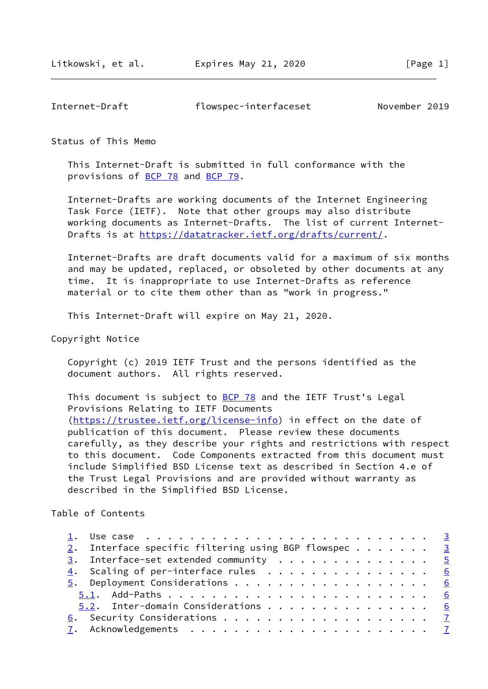| Internet-Draft | flowspec-interfaceset | November 2019 |
|----------------|-----------------------|---------------|
|----------------|-----------------------|---------------|

#### Status of This Memo

 This Internet-Draft is submitted in full conformance with the provisions of [BCP 78](https://datatracker.ietf.org/doc/pdf/bcp78) and [BCP 79](https://datatracker.ietf.org/doc/pdf/bcp79).

 Internet-Drafts are working documents of the Internet Engineering Task Force (IETF). Note that other groups may also distribute working documents as Internet-Drafts. The list of current Internet Drafts is at<https://datatracker.ietf.org/drafts/current/>.

 Internet-Drafts are draft documents valid for a maximum of six months and may be updated, replaced, or obsoleted by other documents at any time. It is inappropriate to use Internet-Drafts as reference material or to cite them other than as "work in progress."

This Internet-Draft will expire on May 21, 2020.

Copyright Notice

 Copyright (c) 2019 IETF Trust and the persons identified as the document authors. All rights reserved.

This document is subject to **[BCP 78](https://datatracker.ietf.org/doc/pdf/bcp78)** and the IETF Trust's Legal Provisions Relating to IETF Documents [\(https://trustee.ietf.org/license-info](https://trustee.ietf.org/license-info)) in effect on the date of publication of this document. Please review these documents carefully, as they describe your rights and restrictions with respect to this document. Code Components extracted from this document must include Simplified BSD License text as described in Section 4.e of the Trust Legal Provisions and are provided without warranty as described in the Simplified BSD License.

Table of Contents

|  | 2. Interface specific filtering using BGP flowspec 3 |  |  |  |  |  |  |  |  |  |
|--|------------------------------------------------------|--|--|--|--|--|--|--|--|--|
|  | $\frac{3}{2}$ . Interface-set extended community 5   |  |  |  |  |  |  |  |  |  |
|  | $\underline{4}$ . Scaling of per-interface rules 6   |  |  |  |  |  |  |  |  |  |
|  |                                                      |  |  |  |  |  |  |  |  |  |
|  |                                                      |  |  |  |  |  |  |  |  |  |
|  | 5.2. Inter-domain Considerations 6                   |  |  |  |  |  |  |  |  |  |
|  |                                                      |  |  |  |  |  |  |  |  |  |
|  |                                                      |  |  |  |  |  |  |  |  |  |
|  |                                                      |  |  |  |  |  |  |  |  |  |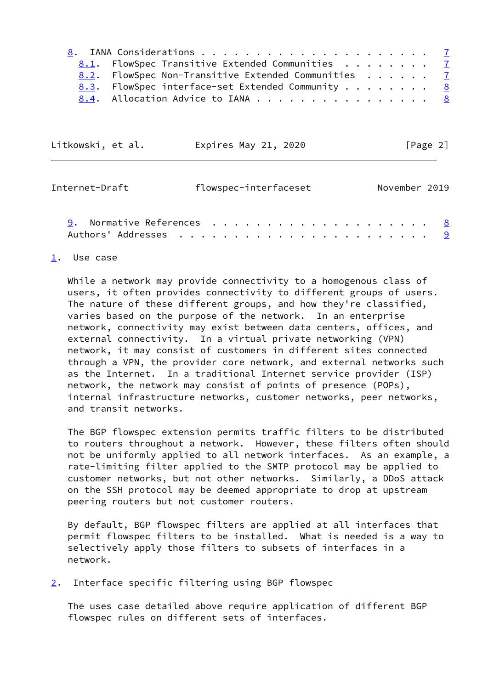| 8.1. FlowSpec Transitive Extended Communities 7     |  |
|-----------------------------------------------------|--|
| 8.2. FlowSpec Non-Transitive Extended Communities 7 |  |
| 8.3. FlowSpec interface-set Extended Community 8    |  |
| 8.4. Allocation Advice to IANA 8                    |  |

<span id="page-2-1"></span>

| Litkowski, et al. | Expires May 21, 2020  | $\lceil \text{Page } 2 \rceil$ |
|-------------------|-----------------------|--------------------------------|
|                   |                       |                                |
| Internet-Draft    | flowspec-interfaceset | November 2019                  |

| 9. Normative References $\ldots$ 8 |  |  |  |  |  |  |  |  |  |  |  |  |  |
|------------------------------------|--|--|--|--|--|--|--|--|--|--|--|--|--|
|                                    |  |  |  |  |  |  |  |  |  |  |  |  |  |

### <span id="page-2-0"></span>[1](#page-2-0). Use case

 While a network may provide connectivity to a homogenous class of users, it often provides connectivity to different groups of users. The nature of these different groups, and how they're classified, varies based on the purpose of the network. In an enterprise network, connectivity may exist between data centers, offices, and external connectivity. In a virtual private networking (VPN) network, it may consist of customers in different sites connected through a VPN, the provider core network, and external networks such as the Internet. In a traditional Internet service provider (ISP) network, the network may consist of points of presence (POPs), internal infrastructure networks, customer networks, peer networks, and transit networks.

 The BGP flowspec extension permits traffic filters to be distributed to routers throughout a network. However, these filters often should not be uniformly applied to all network interfaces. As an example, a rate-limiting filter applied to the SMTP protocol may be applied to customer networks, but not other networks. Similarly, a DDoS attack on the SSH protocol may be deemed appropriate to drop at upstream peering routers but not customer routers.

 By default, BGP flowspec filters are applied at all interfaces that permit flowspec filters to be installed. What is needed is a way to selectively apply those filters to subsets of interfaces in a network.

## <span id="page-2-2"></span>[2](#page-2-2). Interface specific filtering using BGP flowspec

 The uses case detailed above require application of different BGP flowspec rules on different sets of interfaces.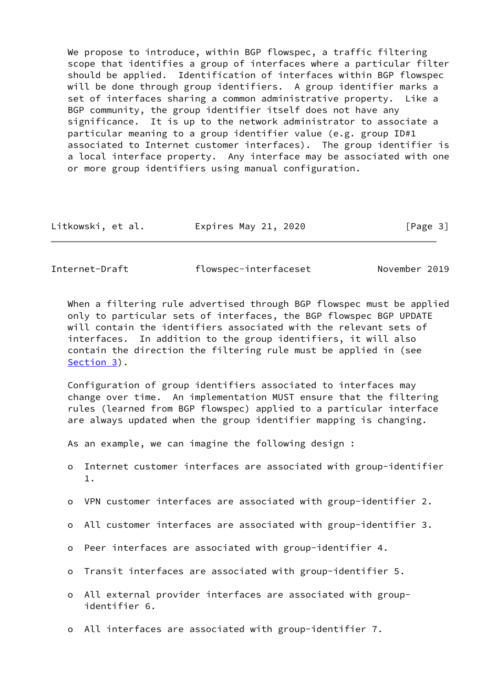We propose to introduce, within BGP flowspec, a traffic filtering scope that identifies a group of interfaces where a particular filter should be applied. Identification of interfaces within BGP flowspec will be done through group identifiers. A group identifier marks a set of interfaces sharing a common administrative property. Like a BGP community, the group identifier itself does not have any significance. It is up to the network administrator to associate a particular meaning to a group identifier value (e.g. group ID#1 associated to Internet customer interfaces). The group identifier is a local interface property. Any interface may be associated with one or more group identifiers using manual configuration.

| Expires May 21, 2020<br>Litkowski, et al. | [Page 3] |
|-------------------------------------------|----------|
|-------------------------------------------|----------|

Internet-Draft flowspec-interfaceset November 2019

 When a filtering rule advertised through BGP flowspec must be applied only to particular sets of interfaces, the BGP flowspec BGP UPDATE will contain the identifiers associated with the relevant sets of interfaces. In addition to the group identifiers, it will also contain the direction the filtering rule must be applied in (see [Section 3](#page-4-0)).

 Configuration of group identifiers associated to interfaces may change over time. An implementation MUST ensure that the filtering rules (learned from BGP flowspec) applied to a particular interface are always updated when the group identifier mapping is changing.

As an example, we can imagine the following design :

- o Internet customer interfaces are associated with group-identifier 1.
- o VPN customer interfaces are associated with group-identifier 2.
- o All customer interfaces are associated with group-identifier 3.
- o Peer interfaces are associated with group-identifier 4.
- o Transit interfaces are associated with group-identifier 5.
- o All external provider interfaces are associated with group identifier 6.
- o All interfaces are associated with group-identifier 7.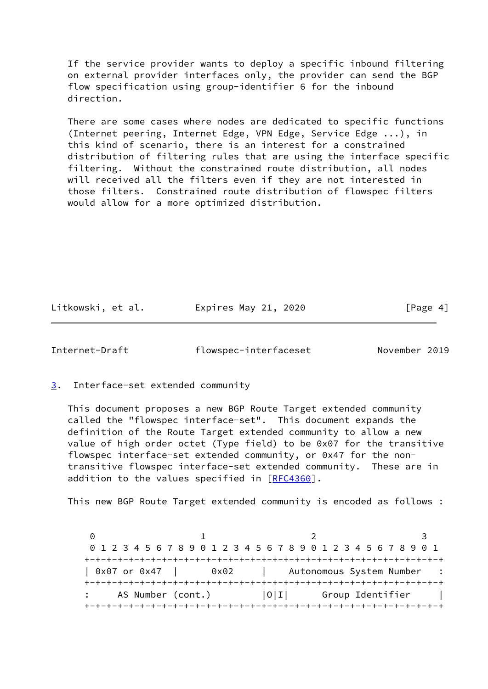If the service provider wants to deploy a specific inbound filtering on external provider interfaces only, the provider can send the BGP flow specification using group-identifier 6 for the inbound direction.

 There are some cases where nodes are dedicated to specific functions (Internet peering, Internet Edge, VPN Edge, Service Edge ...), in this kind of scenario, there is an interest for a constrained distribution of filtering rules that are using the interface specific filtering. Without the constrained route distribution, all nodes will received all the filters even if they are not interested in those filters. Constrained route distribution of flowspec filters would allow for a more optimized distribution.

Litkowski, et al. Expires May 21, 2020 [Page 4]

<span id="page-4-1"></span>Internet-Draft flowspec-interfaceset November 2019

<span id="page-4-0"></span>[3](#page-4-0). Interface-set extended community

 This document proposes a new BGP Route Target extended community called the "flowspec interface-set". This document expands the definition of the Route Target extended community to allow a new value of high order octet (Type field) to be 0x07 for the transitive flowspec interface-set extended community, or 0x47 for the non transitive flowspec interface-set extended community. These are in addition to the values specified in [\[RFC4360](https://datatracker.ietf.org/doc/pdf/rfc4360)].

This new BGP Route Target extended community is encoded as follows :

0 1 2 3 0 1 2 3 4 5 6 7 8 9 0 1 2 3 4 5 6 7 8 9 0 1 2 3 4 5 6 7 8 9 0 1 +-+-+-+-+-+-+-+-+-+-+-+-+-+-+-+-+-+-+-+-+-+-+-+-+-+-+-+-+-+-+-+-+ | 0x07 or 0x47 | 0x02 | Autonomous System Number +-+-+-+-+-+-+-+-+-+-+-+-+-+-+-+-+-+-+-+-+-+-+-+-+-+-+-+-+-+-+-+-+ AS Number (cont.)  $|0|1|$  Group Identifier | +-+-+-+-+-+-+-+-+-+-+-+-+-+-+-+-+-+-+-+-+-+-+-+-+-+-+-+-+-+-+-+-+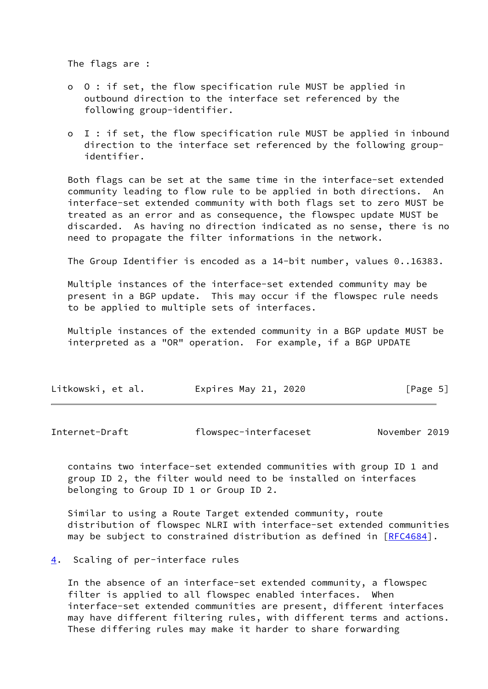The flags are :

- o O : if set, the flow specification rule MUST be applied in outbound direction to the interface set referenced by the following group-identifier.
- o I : if set, the flow specification rule MUST be applied in inbound direction to the interface set referenced by the following group identifier.

 Both flags can be set at the same time in the interface-set extended community leading to flow rule to be applied in both directions. An interface-set extended community with both flags set to zero MUST be treated as an error and as consequence, the flowspec update MUST be discarded. As having no direction indicated as no sense, there is no need to propagate the filter informations in the network.

The Group Identifier is encoded as a 14-bit number, values 0..16383.

 Multiple instances of the interface-set extended community may be present in a BGP update. This may occur if the flowspec rule needs to be applied to multiple sets of interfaces.

 Multiple instances of the extended community in a BGP update MUST be interpreted as a "OR" operation. For example, if a BGP UPDATE

| Litkowski, et al. | Expires May 21, 2020 | [Page 5] |
|-------------------|----------------------|----------|
|-------------------|----------------------|----------|

<span id="page-5-1"></span>

| Internet-Draft | flowspec-interfaceset | November 2019 |  |
|----------------|-----------------------|---------------|--|
|----------------|-----------------------|---------------|--|

 contains two interface-set extended communities with group ID 1 and group ID 2, the filter would need to be installed on interfaces belonging to Group ID 1 or Group ID 2.

 Similar to using a Route Target extended community, route distribution of flowspec NLRI with interface-set extended communities may be subject to constrained distribution as defined in [\[RFC4684](https://datatracker.ietf.org/doc/pdf/rfc4684)].

### <span id="page-5-0"></span>[4](#page-5-0). Scaling of per-interface rules

 In the absence of an interface-set extended community, a flowspec filter is applied to all flowspec enabled interfaces. When interface-set extended communities are present, different interfaces may have different filtering rules, with different terms and actions. These differing rules may make it harder to share forwarding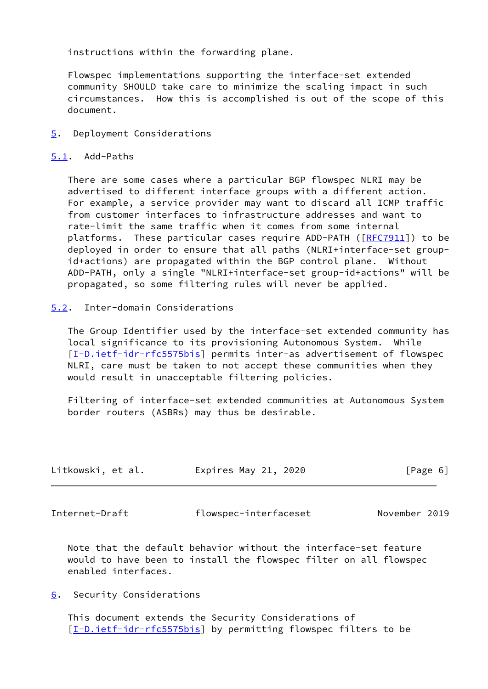instructions within the forwarding plane.

 Flowspec implementations supporting the interface-set extended community SHOULD take care to minimize the scaling impact in such circumstances. How this is accomplished is out of the scope of this document.

<span id="page-6-0"></span>[5](#page-6-0). Deployment Considerations

# <span id="page-6-1"></span>[5.1](#page-6-1). Add-Paths

 There are some cases where a particular BGP flowspec NLRI may be advertised to different interface groups with a different action. For example, a service provider may want to discard all ICMP traffic from customer interfaces to infrastructure addresses and want to rate-limit the same traffic when it comes from some internal platforms. These particular cases require ADD-PATH ([\[RFC7911](https://datatracker.ietf.org/doc/pdf/rfc7911)]) to be deployed in order to ensure that all paths (NLRI+interface-set group id+actions) are propagated within the BGP control plane. Without ADD-PATH, only a single "NLRI+interface-set group-id+actions" will be propagated, so some filtering rules will never be applied.

# <span id="page-6-2"></span>[5.2](#page-6-2). Inter-domain Considerations

 The Group Identifier used by the interface-set extended community has local significance to its provisioning Autonomous System. While [\[I-D.ietf-idr-rfc5575bis](#page-8-3)] permits inter-as advertisement of flowspec NLRI, care must be taken to not accept these communities when they would result in unacceptable filtering policies.

 Filtering of interface-set extended communities at Autonomous System border routers (ASBRs) may thus be desirable.

| Litkowski, et al. | Expires May 21, 2020 | [Page 6] |
|-------------------|----------------------|----------|
|                   |                      |          |

<span id="page-6-4"></span>

Internet-Draft flowspec-interfaceset November 2019

 Note that the default behavior without the interface-set feature would to have been to install the flowspec filter on all flowspec enabled interfaces.

<span id="page-6-3"></span>[6](#page-6-3). Security Considerations

 This document extends the Security Considerations of [\[I-D.ietf-idr-rfc5575bis](#page-8-3)] by permitting flowspec filters to be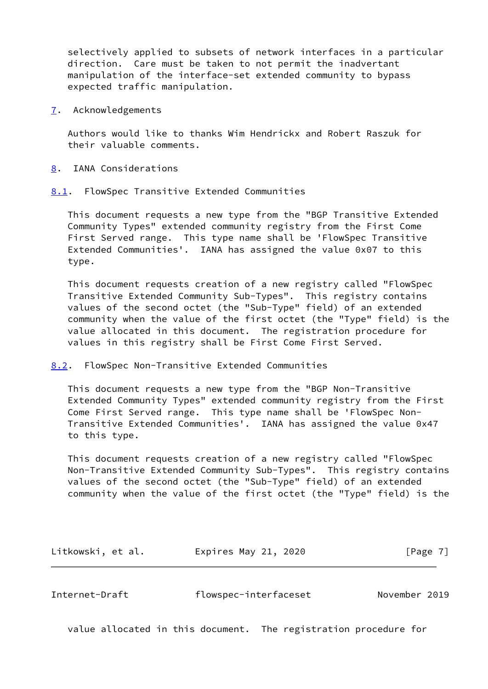selectively applied to subsets of network interfaces in a particular direction. Care must be taken to not permit the inadvertant manipulation of the interface-set extended community to bypass expected traffic manipulation.

<span id="page-7-0"></span>[7](#page-7-0). Acknowledgements

 Authors would like to thanks Wim Hendrickx and Robert Raszuk for their valuable comments.

- <span id="page-7-1"></span>[8](#page-7-1). IANA Considerations
- <span id="page-7-2"></span>[8.1](#page-7-2). FlowSpec Transitive Extended Communities

 This document requests a new type from the "BGP Transitive Extended Community Types" extended community registry from the First Come First Served range. This type name shall be 'FlowSpec Transitive Extended Communities'. IANA has assigned the value 0x07 to this type.

 This document requests creation of a new registry called "FlowSpec Transitive Extended Community Sub-Types". This registry contains values of the second octet (the "Sub-Type" field) of an extended community when the value of the first octet (the "Type" field) is the value allocated in this document. The registration procedure for values in this registry shall be First Come First Served.

<span id="page-7-3"></span>[8.2](#page-7-3). FlowSpec Non-Transitive Extended Communities

 This document requests a new type from the "BGP Non-Transitive Extended Community Types" extended community registry from the First Come First Served range. This type name shall be 'FlowSpec Non- Transitive Extended Communities'. IANA has assigned the value 0x47 to this type.

 This document requests creation of a new registry called "FlowSpec Non-Transitive Extended Community Sub-Types". This registry contains values of the second octet (the "Sub-Type" field) of an extended community when the value of the first octet (the "Type" field) is the

| Litkowski, et al. | Expires May 21, 2020 | [Page 7] |
|-------------------|----------------------|----------|
|-------------------|----------------------|----------|

<span id="page-7-4"></span>Internet-Draft flowspec-interfaceset November 2019

value allocated in this document. The registration procedure for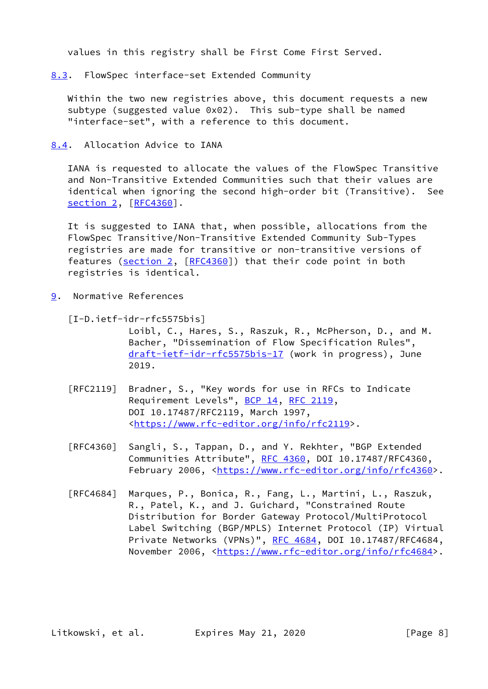values in this registry shall be First Come First Served.

<span id="page-8-0"></span>[8.3](#page-8-0). FlowSpec interface-set Extended Community

Within the two new registries above, this document requests a new subtype (suggested value 0x02). This sub-type shall be named "interface-set", with a reference to this document.

<span id="page-8-1"></span>[8.4](#page-8-1). Allocation Advice to IANA

 IANA is requested to allocate the values of the FlowSpec Transitive and Non-Transitive Extended Communities such that their values are identical when ignoring the second high-order bit (Transitive). See [section 2](#page-2-2), [[RFC4360\]](https://datatracker.ietf.org/doc/pdf/rfc4360).

 It is suggested to IANA that, when possible, allocations from the FlowSpec Transitive/Non-Transitive Extended Community Sub-Types registries are made for transitive or non-transitive versions of features [\(section 2,](#page-2-2) [\[RFC4360](https://datatracker.ietf.org/doc/pdf/rfc4360)]) that their code point in both registries is identical.

<span id="page-8-2"></span>[9](#page-8-2). Normative References

<span id="page-8-3"></span> [I-D.ietf-idr-rfc5575bis] Loibl, C., Hares, S., Raszuk, R., McPherson, D., and M. Bacher, "Dissemination of Flow Specification Rules", [draft-ietf-idr-rfc5575bis-17](https://datatracker.ietf.org/doc/pdf/draft-ietf-idr-rfc5575bis-17) (work in progress), June 2019.

- [RFC2119] Bradner, S., "Key words for use in RFCs to Indicate Requirement Levels", [BCP 14](https://datatracker.ietf.org/doc/pdf/bcp14), [RFC 2119](https://datatracker.ietf.org/doc/pdf/rfc2119), DOI 10.17487/RFC2119, March 1997, <[https://www.rfc-editor.org/info/rfc2119>](https://www.rfc-editor.org/info/rfc2119).
- [RFC4360] Sangli, S., Tappan, D., and Y. Rekhter, "BGP Extended Communities Attribute", [RFC 4360,](https://datatracker.ietf.org/doc/pdf/rfc4360) DOI 10.17487/RFC4360, February 2006, <<https://www.rfc-editor.org/info/rfc4360>>.
- [RFC4684] Marques, P., Bonica, R., Fang, L., Martini, L., Raszuk, R., Patel, K., and J. Guichard, "Constrained Route Distribution for Border Gateway Protocol/MultiProtocol Label Switching (BGP/MPLS) Internet Protocol (IP) Virtual Private Networks (VPNs)", [RFC 4684](https://datatracker.ietf.org/doc/pdf/rfc4684), DOI 10.17487/RFC4684, November 2006, <<https://www.rfc-editor.org/info/rfc4684>>.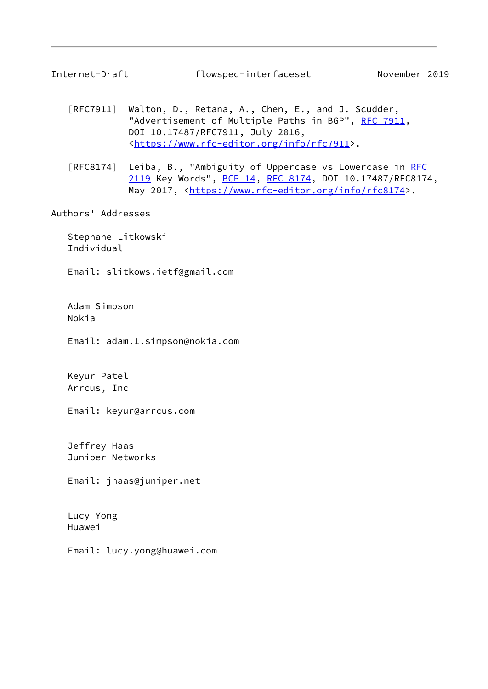<span id="page-9-0"></span>

- [RFC7911] Walton, D., Retana, A., Chen, E., and J. Scudder, "Advertisement of Multiple Paths in BGP", [RFC 7911](https://datatracker.ietf.org/doc/pdf/rfc7911), DOI 10.17487/RFC7911, July 2016, <[https://www.rfc-editor.org/info/rfc7911>](https://www.rfc-editor.org/info/rfc7911).
- [RFC8174] Leiba, B., "Ambiguity of Uppercase vs Lowercase in [RFC](https://datatracker.ietf.org/doc/pdf/rfc2119) [2119](https://datatracker.ietf.org/doc/pdf/rfc2119) Key Words", [BCP 14](https://datatracker.ietf.org/doc/pdf/bcp14), [RFC 8174,](https://datatracker.ietf.org/doc/pdf/rfc8174) DOI 10.17487/RFC8174, May 2017, [<https://www.rfc-editor.org/info/rfc8174](https://www.rfc-editor.org/info/rfc8174)>.

Authors' Addresses

 Stephane Litkowski Individual

Email: slitkows.ietf@gmail.com

 Adam Simpson Nokia

Email: adam.1.simpson@nokia.com

 Keyur Patel Arrcus, Inc

Email: keyur@arrcus.com

 Jeffrey Haas Juniper Networks

Email: jhaas@juniper.net

 Lucy Yong Huawei

Email: lucy.yong@huawei.com